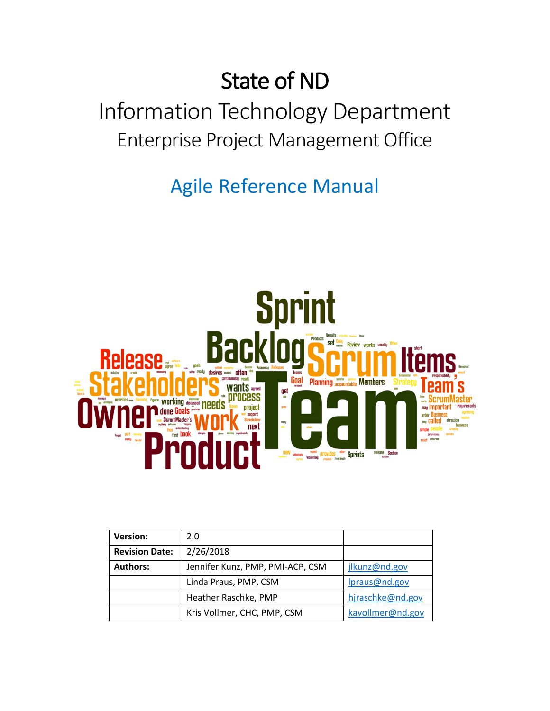# State of ND

# Information Technology Department Enterprise Project Management Office

Agile Reference Manual



| <b>Version:</b>       | 2.0                              |                  |
|-----------------------|----------------------------------|------------------|
| <b>Revision Date:</b> | 2/26/2018                        |                  |
| <b>Authors:</b>       | Jennifer Kunz, PMP, PMI-ACP, CSM | jlkunz@nd.gov    |
|                       | Linda Praus, PMP, CSM            | Ipraus@nd.gov    |
|                       | Heather Raschke, PMP             | hjraschke@nd.gov |
|                       | Kris Vollmer, CHC, PMP, CSM      | kavollmer@nd.gov |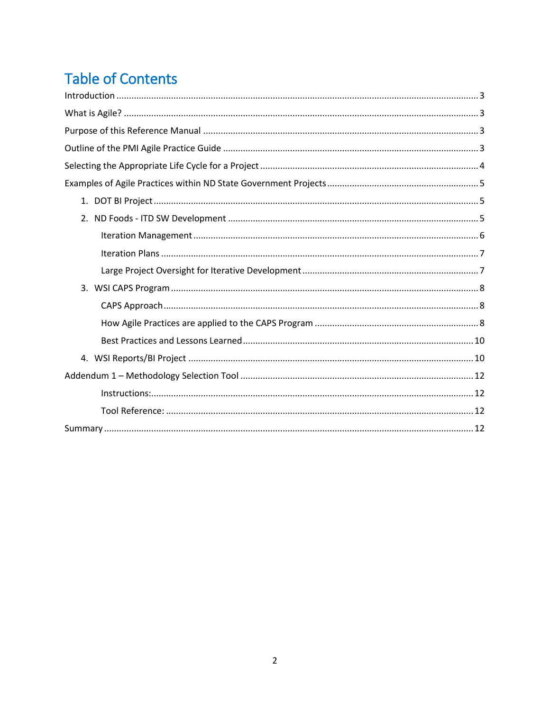## **Table of Contents**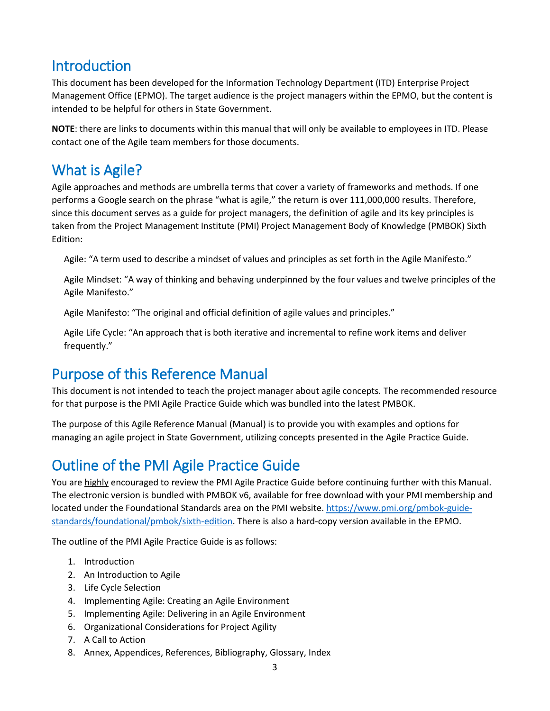## <span id="page-2-0"></span>Introduction

This document has been developed for the Information Technology Department (ITD) Enterprise Project Management Office (EPMO). The target audience is the project managers within the EPMO, but the content is intended to be helpful for others in State Government.

**NOTE**: there are links to documents within this manual that will only be available to employees in ITD. Please contact one of the Agile team members for those documents.

## <span id="page-2-1"></span>What is Agile?

Agile approaches and methods are umbrella terms that cover a variety of frameworks and methods. If one performs a Google search on the phrase "what is agile," the return is over 111,000,000 results. Therefore, since this document serves as a guide for project managers, the definition of agile and its key principles is taken from the Project Management Institute (PMI) Project Management Body of Knowledge (PMBOK) Sixth Edition:

Agile: "A term used to describe a mindset of values and principles as set forth in the Agile Manifesto."

Agile Mindset: "A way of thinking and behaving underpinned by the four values and twelve principles of the Agile Manifesto."

Agile Manifesto: "The original and official definition of agile values and principles."

Agile Life Cycle: "An approach that is both iterative and incremental to refine work items and deliver frequently."

## <span id="page-2-2"></span>Purpose of this Reference Manual

This document is not intended to teach the project manager about agile concepts. The recommended resource for that purpose is the PMI Agile Practice Guide which was bundled into the latest PMBOK.

The purpose of this Agile Reference Manual (Manual) is to provide you with examples and options for managing an agile project in State Government, utilizing concepts presented in the Agile Practice Guide.

## <span id="page-2-3"></span>Outline of the PMI Agile Practice Guide

You are highly encouraged to review the PMI Agile Practice Guide before continuing further with this Manual. The electronic version is bundled with PMBOK v6, available for free download with your PMI membership and located under the Foundational Standards area on the PMI website. [https://www.pmi.org/pmbok-guide](https://www.pmi.org/pmbok-guide-standards/foundational/pmbok/sixth-edition)[standards/foundational/pmbok/sixth-edition.](https://www.pmi.org/pmbok-guide-standards/foundational/pmbok/sixth-edition) There is also a hard-copy version available in the EPMO.

The outline of the PMI Agile Practice Guide is as follows:

- 1. Introduction
- 2. An Introduction to Agile
- 3. Life Cycle Selection
- 4. Implementing Agile: Creating an Agile Environment
- 5. Implementing Agile: Delivering in an Agile Environment
- 6. Organizational Considerations for Project Agility
- 7. A Call to Action
- 8. Annex, Appendices, References, Bibliography, Glossary, Index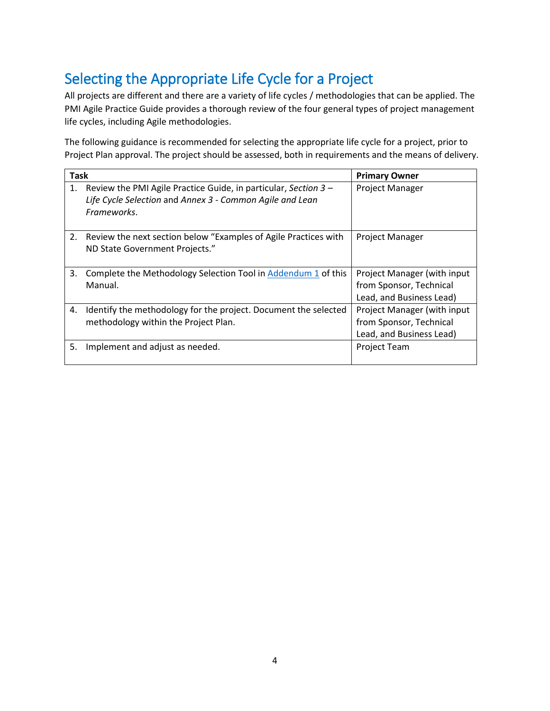## <span id="page-3-0"></span>Selecting the Appropriate Life Cycle for a Project

All projects are different and there are a variety of life cycles / methodologies that can be applied. The PMI Agile Practice Guide provides a thorough review of the four general types of project management life cycles, including Agile methodologies.

The following guidance is recommended for selecting the appropriate life cycle for a project, prior to Project Plan approval. The project should be assessed, both in requirements and the means of delivery.

| <b>Task</b> |                                                                                                                                                 | <b>Primary Owner</b>                                                               |
|-------------|-------------------------------------------------------------------------------------------------------------------------------------------------|------------------------------------------------------------------------------------|
|             | 1. Review the PMI Agile Practice Guide, in particular, Section $3 -$<br>Life Cycle Selection and Annex 3 - Common Agile and Lean<br>Frameworks. | Project Manager                                                                    |
|             | 2. Review the next section below "Examples of Agile Practices with<br>ND State Government Projects."                                            | Project Manager                                                                    |
| 3.          | Complete the Methodology Selection Tool in Addendum 1 of this<br>Manual.                                                                        | Project Manager (with input<br>from Sponsor, Technical<br>Lead, and Business Lead) |
| 4.          | Identify the methodology for the project. Document the selected<br>methodology within the Project Plan.                                         | Project Manager (with input<br>from Sponsor, Technical<br>Lead, and Business Lead) |
| 5.          | Implement and adjust as needed.                                                                                                                 | <b>Project Team</b>                                                                |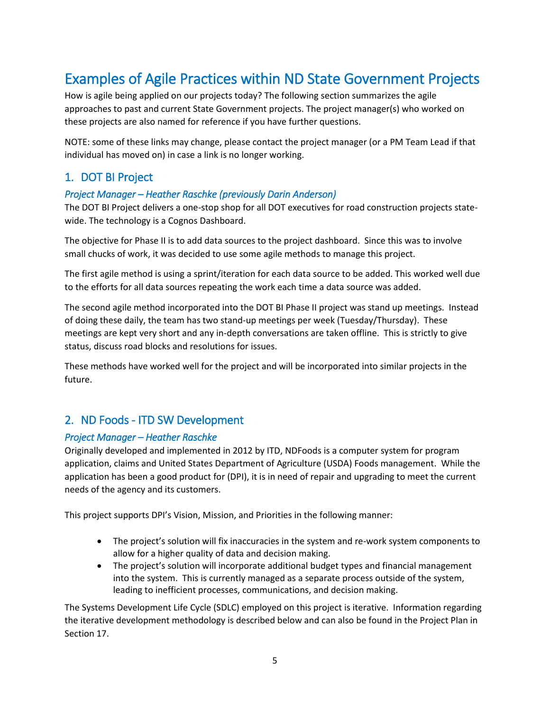## <span id="page-4-0"></span>Examples of Agile Practices within ND State Government Projects

How is agile being applied on our projects today? The following section summarizes the agile approaches to past and current State Government projects. The project manager(s) who worked on these projects are also named for reference if you have further questions.

NOTE: some of these links may change, please contact the project manager (or a PM Team Lead if that individual has moved on) in case a link is no longer working.

## <span id="page-4-1"></span>1. DOT BI Project

### *Project Manager – Heather Raschke (previously Darin Anderson)*

The DOT BI Project delivers a one-stop shop for all DOT executives for road construction projects statewide. The technology is a Cognos Dashboard.

The objective for Phase II is to add data sources to the project dashboard. Since this was to involve small chucks of work, it was decided to use some agile methods to manage this project.

The first agile method is using a sprint/iteration for each data source to be added. This worked well due to the efforts for all data sources repeating the work each time a data source was added.

The second agile method incorporated into the DOT BI Phase II project was stand up meetings. Instead of doing these daily, the team has two stand-up meetings per week (Tuesday/Thursday). These meetings are kept very short and any in-depth conversations are taken offline. This is strictly to give status, discuss road blocks and resolutions for issues.

These methods have worked well for the project and will be incorporated into similar projects in the future.

## <span id="page-4-2"></span>2. ND Foods - ITD SW Development

### *Project Manager – Heather Raschke*

Originally developed and implemented in 2012 by ITD, NDFoods is a computer system for program application, claims and United States Department of Agriculture (USDA) Foods management. While the application has been a good product for (DPI), it is in need of repair and upgrading to meet the current needs of the agency and its customers.

This project supports DPI's Vision, Mission, and Priorities in the following manner:

- The project's solution will fix inaccuracies in the system and re-work system components to allow for a higher quality of data and decision making.
- The project's solution will incorporate additional budget types and financial management into the system. This is currently managed as a separate process outside of the system, leading to inefficient processes, communications, and decision making.

The Systems Development Life Cycle (SDLC) employed on this project is iterative. Information regarding the iterative development methodology is described below and can also be found in the Project Plan in Section 17.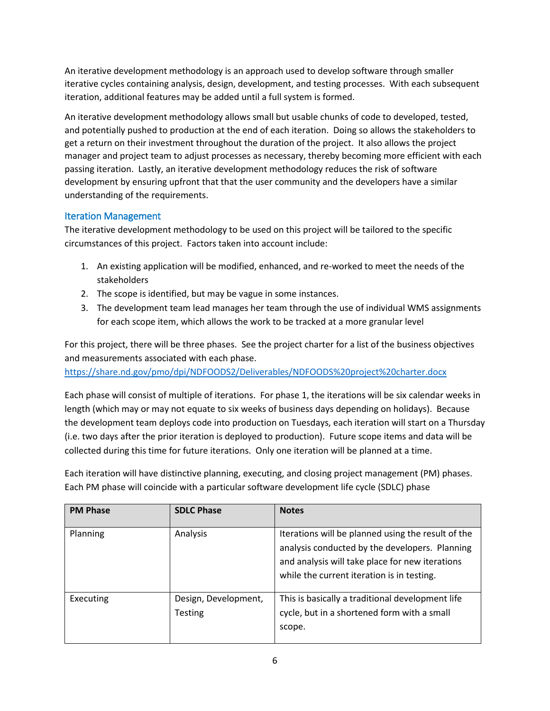An iterative development methodology is an approach used to develop software through smaller iterative cycles containing analysis, design, development, and testing processes. With each subsequent iteration, additional features may be added until a full system is formed.

An iterative development methodology allows small but usable chunks of code to developed, tested, and potentially pushed to production at the end of each iteration. Doing so allows the stakeholders to get a return on their investment throughout the duration of the project. It also allows the project manager and project team to adjust processes as necessary, thereby becoming more efficient with each passing iteration. Lastly, an iterative development methodology reduces the risk of software development by ensuring upfront that that the user community and the developers have a similar understanding of the requirements.

## <span id="page-5-0"></span>Iteration Management

The iterative development methodology to be used on this project will be tailored to the specific circumstances of this project. Factors taken into account include:

- 1. An existing application will be modified, enhanced, and re-worked to meet the needs of the stakeholders
- 2. The scope is identified, but may be vague in some instances.
- 3. The development team lead manages her team through the use of individual WMS assignments for each scope item, which allows the work to be tracked at a more granular level

For this project, there will be three phases. See the project charter for a list of the business objectives and measurements associated with each phase.

<https://share.nd.gov/pmo/dpi/NDFOODS2/Deliverables/NDFOODS%20project%20charter.docx>

Each phase will consist of multiple of iterations. For phase 1, the iterations will be six calendar weeks in length (which may or may not equate to six weeks of business days depending on holidays). Because the development team deploys code into production on Tuesdays, each iteration will start on a Thursday (i.e. two days after the prior iteration is deployed to production). Future scope items and data will be collected during this time for future iterations. Only one iteration will be planned at a time.

Each iteration will have distinctive planning, executing, and closing project management (PM) phases. Each PM phase will coincide with a particular software development life cycle (SDLC) phase

| <b>PM Phase</b> | <b>SDLC Phase</b>               | <b>Notes</b>                                                                                                                                                                                          |
|-----------------|---------------------------------|-------------------------------------------------------------------------------------------------------------------------------------------------------------------------------------------------------|
| Planning        | Analysis                        | Iterations will be planned using the result of the<br>analysis conducted by the developers. Planning<br>and analysis will take place for new iterations<br>while the current iteration is in testing. |
| Executing       | Design, Development,<br>Testing | This is basically a traditional development life<br>cycle, but in a shortened form with a small<br>scope.                                                                                             |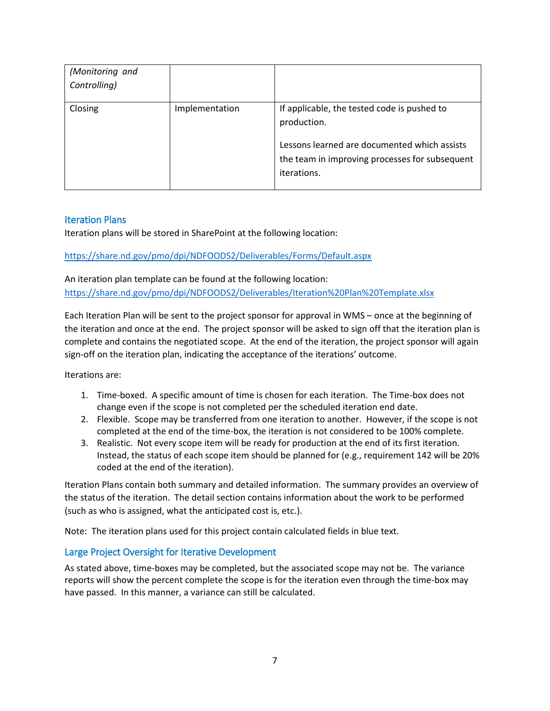| (Monitoring and<br>Controlling) |                |                                                                                                                                                                             |
|---------------------------------|----------------|-----------------------------------------------------------------------------------------------------------------------------------------------------------------------------|
| Closing                         | Implementation | If applicable, the tested code is pushed to<br>production.<br>Lessons learned are documented which assists<br>the team in improving processes for subsequent<br>iterations. |

### <span id="page-6-0"></span>Iteration Plans

Iteration plans will be stored in SharePoint at the following location:

### <https://share.nd.gov/pmo/dpi/NDFOODS2/Deliverables/Forms/Default.aspx>

An iteration plan template can be found at the following location: <https://share.nd.gov/pmo/dpi/NDFOODS2/Deliverables/Iteration%20Plan%20Template.xlsx>

Each Iteration Plan will be sent to the project sponsor for approval in WMS – once at the beginning of the iteration and once at the end. The project sponsor will be asked to sign off that the iteration plan is complete and contains the negotiated scope. At the end of the iteration, the project sponsor will again sign-off on the iteration plan, indicating the acceptance of the iterations' outcome.

Iterations are:

- 1. Time-boxed. A specific amount of time is chosen for each iteration. The Time-box does not change even if the scope is not completed per the scheduled iteration end date.
- 2. Flexible. Scope may be transferred from one iteration to another. However, if the scope is not completed at the end of the time-box, the iteration is not considered to be 100% complete.
- 3. Realistic. Not every scope item will be ready for production at the end of its first iteration. Instead, the status of each scope item should be planned for (e.g., requirement 142 will be 20% coded at the end of the iteration).

Iteration Plans contain both summary and detailed information. The summary provides an overview of the status of the iteration. The detail section contains information about the work to be performed (such as who is assigned, what the anticipated cost is, etc.).

Note: The iteration plans used for this project contain calculated fields in blue text.

### <span id="page-6-1"></span>Large Project Oversight for Iterative Development

As stated above, time-boxes may be completed, but the associated scope may not be. The variance reports will show the percent complete the scope is for the iteration even through the time-box may have passed. In this manner, a variance can still be calculated.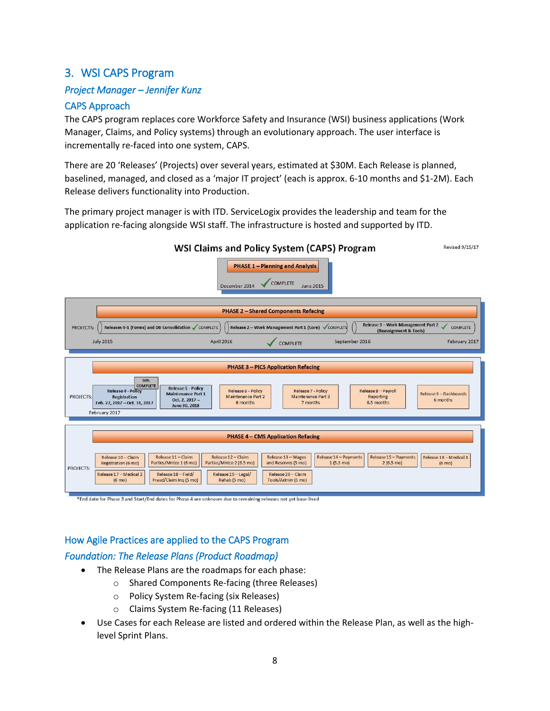## <span id="page-7-0"></span>3. WSI CAPS Program

## *Project Manager – Jennifer Kunz*

## <span id="page-7-1"></span>CAPS Approach

The CAPS program replaces core Workforce Safety and Insurance (WSI) business applications (Work Manager, Claims, and Policy systems) through an evolutionary approach. The user interface is incrementally re-faced into one system, CAPS.

There are 20 'Releases' (Projects) over several years, estimated at \$30M. Each Release is planned, baselined, managed, and closed as a 'major IT project' (each is approx. 6-10 months and \$1-2M). Each Release delivers functionality into Production.

The primary project manager is with ITD. ServiceLogix provides the leadership and team for the application re-facing alongside WSI staff. The infrastructure is hosted and supported by ITD.



<span id="page-7-2"></span>How Agile Practices are applied to the CAPS Program

### *Foundation: The Release Plans (Product Roadmap)*

- The Release Plans are the roadmaps for each phase:
	- o Shared Components Re-facing (three Releases)
	- o Policy System Re-facing (six Releases)
	- o Claims System Re-facing (11 Releases)
- Use Cases for each Release are listed and ordered within the Release Plan, as well as the highlevel Sprint Plans.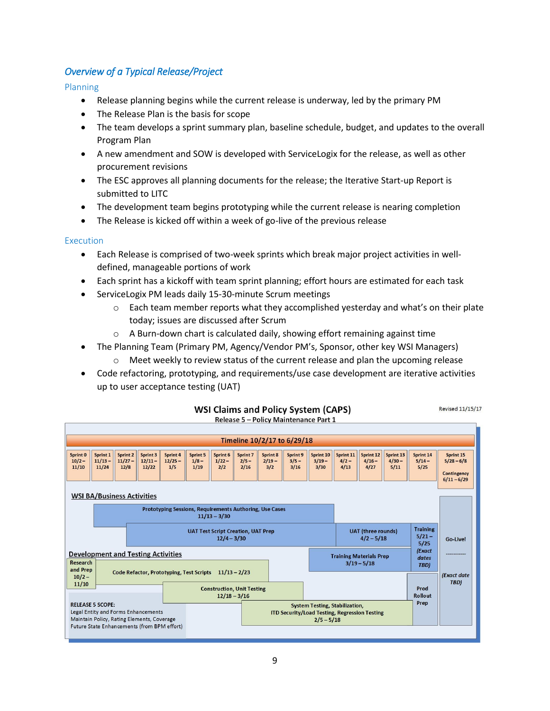## *Overview of a Typical Release/Project*

Planning

- Release planning begins while the current release is underway, led by the primary PM
- The Release Plan is the basis for scope
- The team develops a sprint summary plan, baseline schedule, budget, and updates to the overall Program Plan
- A new amendment and SOW is developed with ServiceLogix for the release, as well as other procurement revisions
- The ESC approves all planning documents for the release; the Iterative Start-up Report is submitted to LITC
- The development team begins prototyping while the current release is nearing completion
- The Release is kicked off within a week of go-live of the previous release

### Execution

- Each Release is comprised of two-week sprints which break major project activities in welldefined, manageable portions of work
- Each sprint has a kickoff with team sprint planning; effort hours are estimated for each task
	- ServiceLogix PM leads daily 15-30-minute Scrum meetings
		- $\circ$  Each team member reports what they accomplished yesterday and what's on their plate today; issues are discussed after Scrum

**Revised 11/15/17** 

- $\circ$  A Burn-down chart is calculated daily, showing effort remaining against time
- The Planning Team (Primary PM, Agency/Vendor PM's, Sponsor, other key WSI Managers)
	- $\circ$  Meet weekly to review status of the current release and plan the upcoming release
- Code refactoring, prototyping, and requirements/use case development are iterative activities up to user acceptance testing (UAT)



#### **WSI Claims and Policy System (CAPS)** Release 5 - Policy Maintenance Part 1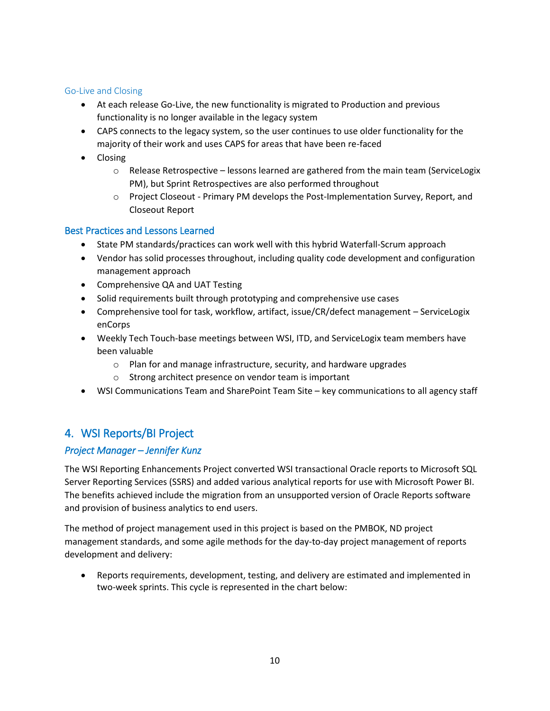### Go-Live and Closing

- At each release Go-Live, the new functionality is migrated to Production and previous functionality is no longer available in the legacy system
- CAPS connects to the legacy system, so the user continues to use older functionality for the majority of their work and uses CAPS for areas that have been re-faced
- Closing
	- $\circ$  Release Retrospective lessons learned are gathered from the main team (ServiceLogix PM), but Sprint Retrospectives are also performed throughout
	- o Project Closeout Primary PM develops the Post-Implementation Survey, Report, and Closeout Report

## <span id="page-9-0"></span>Best Practices and Lessons Learned

- State PM standards/practices can work well with this hybrid Waterfall-Scrum approach
- Vendor has solid processes throughout, including quality code development and configuration management approach
- Comprehensive QA and UAT Testing
- Solid requirements built through prototyping and comprehensive use cases
- Comprehensive tool for task, workflow, artifact, issue/CR/defect management ServiceLogix enCorps
- Weekly Tech Touch-base meetings between WSI, ITD, and ServiceLogix team members have been valuable
	- o Plan for and manage infrastructure, security, and hardware upgrades
	- o Strong architect presence on vendor team is important
- WSI Communications Team and SharePoint Team Site key communications to all agency staff

## <span id="page-9-1"></span>4. WSI Reports/BI Project

## *Project Manager – Jennifer Kunz*

The WSI Reporting Enhancements Project converted WSI transactional Oracle reports to Microsoft SQL Server Reporting Services (SSRS) and added various analytical reports for use with Microsoft Power BI. The benefits achieved include the migration from an unsupported version of Oracle Reports software and provision of business analytics to end users.

The method of project management used in this project is based on the PMBOK, ND project management standards, and some agile methods for the day-to-day project management of reports development and delivery:

• Reports requirements, development, testing, and delivery are estimated and implemented in two-week sprints. This cycle is represented in the chart below: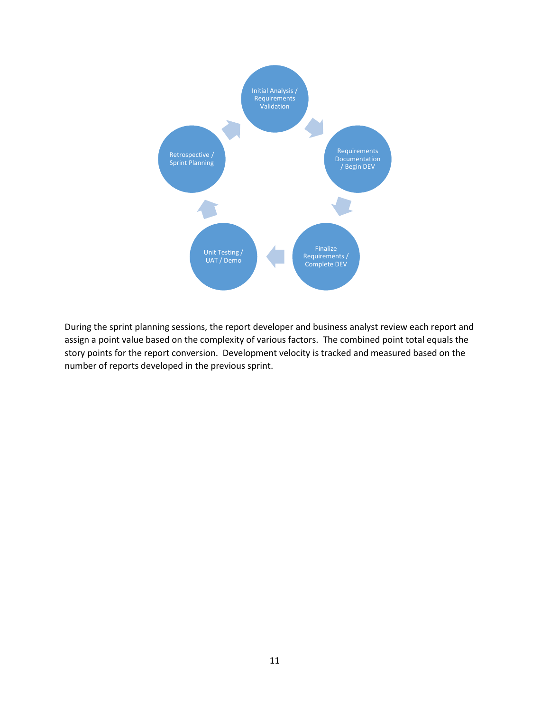

During the sprint planning sessions, the report developer and business analyst review each report and assign a point value based on the complexity of various factors. The combined point total equals the story points for the report conversion. Development velocity is tracked and measured based on the number of reports developed in the previous sprint.